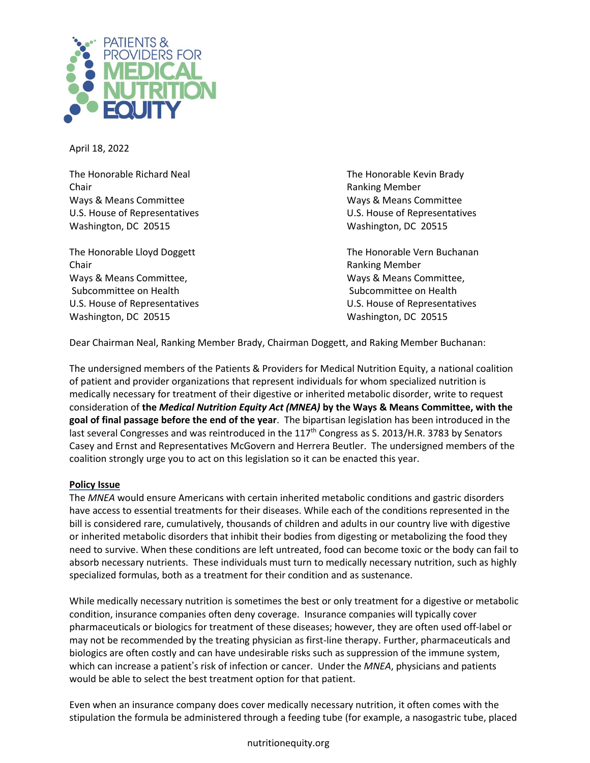

April 18, 2022

The Honorable Richard Neal The Honorable Kevin Brady Chair **Chair** Chair **Chair** Chair **Chair** Chair **Chair** Ranking Member Ways & Means Committee Ways & Means Committee Washington, DC 20515 Washington, DC 20515

Chair **Chair** Ranking Member Ways & Means Committee, Ways & Means Committee, Subcommittee on Health Subcommittee on Health Subcommittee on Health Washington, DC 20515 Washington, DC 20515

U.S. House of Representatives U.S. House of Representatives

The Honorable Lloyd Doggett The Honorable Vern Buchanan U.S. House of Representatives U.S. House of Representatives

Dear Chairman Neal, Ranking Member Brady, Chairman Doggett, and Raking Member Buchanan:

The undersigned members of the Patients & Providers for Medical Nutrition Equity, a national coalition of patient and provider organizations that represent individuals for whom specialized nutrition is medically necessary for treatment of their digestive or inherited metabolic disorder, write to request consideration of **the** *Medical Nutrition Equity Act (MNEA)* **by the Ways & Means Committee, with the goal of final passage before the end of the year**. The bipartisan legislation has been introduced in the last several Congresses and was reintroduced in the  $117<sup>th</sup>$  Congress as S. 2013/H.R. 3783 by Senators Casey and Ernst and Representatives McGovern and Herrera Beutler. The undersigned members of the coalition strongly urge you to act on this legislation so it can be enacted this year.

## **Policy Issue**

The *MNEA* would ensure Americans with certain inherited metabolic conditions and gastric disorders have access to essential treatments for their diseases. While each of the conditions represented in the bill is considered rare, cumulatively, thousands of children and adults in our country live with digestive or inherited metabolic disorders that inhibit their bodies from digesting or metabolizing the food they need to survive. When these conditions are left untreated, food can become toxic or the body can fail to absorb necessary nutrients. These individuals must turn to medically necessary nutrition, such as highly specialized formulas, both as a treatment for their condition and as sustenance.

While medically necessary nutrition is sometimes the best or only treatment for a digestive or metabolic condition, insurance companies often deny coverage. Insurance companies will typically cover pharmaceuticals or biologics for treatment of these diseases; however, they are often used off-label or may not be recommended by the treating physician as first-line therapy. Further, pharmaceuticals and biologics are often costly and can have undesirable risks such as suppression of the immune system, which can increase a patient's risk of infection or cancer. Under the *MNEA*, physicians and patients would be able to select the best treatment option for that patient.

Even when an insurance company does cover medically necessary nutrition, it often comes with the stipulation the formula be administered through a feeding tube (for example, a nasogastric tube, placed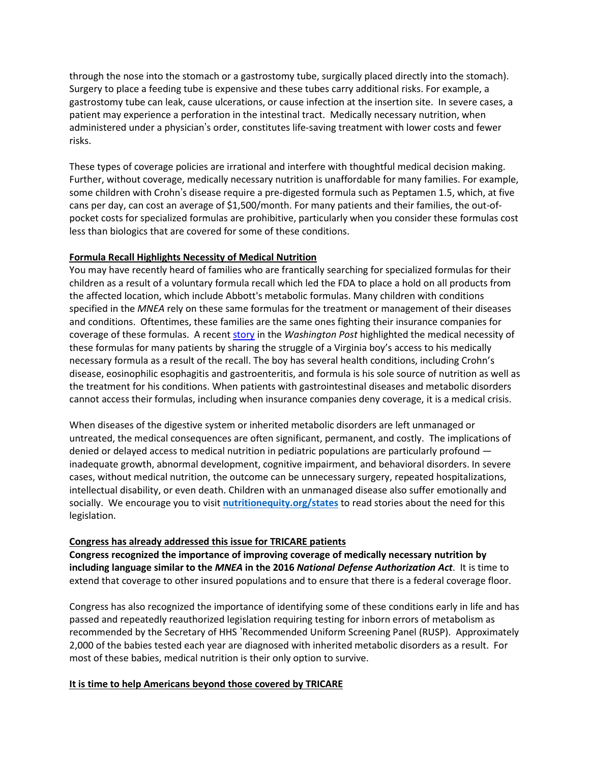through the nose into the stomach or a gastrostomy tube, surgically placed directly into the stomach). Surgery to place a feeding tube is expensive and these tubes carry additional risks. For example, a gastrostomy tube can leak, cause ulcerations, or cause infection at the insertion site. In severe cases, a patient may experience a perforation in the intestinal tract. Medically necessary nutrition, when administered under a physician's order, constitutes life-saving treatment with lower costs and fewer risks.

These types of coverage policies are irrational and interfere with thoughtful medical decision making. Further, without coverage, medically necessary nutrition is unaffordable for many families. For example, some children with Crohn's disease require a pre-digested formula such as Peptamen 1.5, which, at five cans per day, can cost an average of \$1,500/month. For many patients and their families, the out-ofpocket costs for specialized formulas are prohibitive, particularly when you consider these formulas cost less than biologics that are covered for some of these conditions.

## **Formula Recall Highlights Necessity of Medical Nutrition**

You may have recently heard of families who are frantically searching for specialized formulas for their children as a result of a voluntary formula recall which led the FDA to place a hold on all products from the affected location, which include Abbott's metabolic formulas. Many children with conditions specified in the *MNEA* rely on these same formulas for the treatment or management of their diseases and conditions. Oftentimes, these families are the same ones fighting their insurance companies for coverage of these formulas. A recent [story](https://www.washingtonpost.com/lifestyle/2022/02/23/formula-recall-fda-elecare-allergy/) in the *Washington Post* highlighted the medical necessity of these formulas for many patients by sharing the struggle of a Virginia boy's access to his medically necessary formula as a result of the recall. The boy has several health conditions, including Crohn's disease, eosinophilic esophagitis and gastroenteritis, and formula is his sole source of nutrition as well as the treatment for his conditions. When patients with gastrointestinal diseases and metabolic disorders cannot access their formulas, including when insurance companies deny coverage, it is a medical crisis.

When diseases of the digestive system or inherited metabolic disorders are left unmanaged or untreated, the medical consequences are often significant, permanent, and costly. The implications of denied or delayed access to medical nutrition in pediatric populations are particularly profound inadequate growth, abnormal development, cognitive impairment, and behavioral disorders. In severe cases, without medical nutrition, the outcome can be unnecessary surgery, repeated hospitalizations, intellectual disability, or even death. Children with an unmanaged disease also suffer emotionally and socially. We encourage you to visit **nutritionequity.org/states** to read stories about the need for this legislation.

## **Congress has already addressed this issue for TRICARE patients**

**Congress recognized the importance of improving coverage of medically necessary nutrition by including language similar to the** *MNEA* **in the 2016** *National Defense Authorization Act*. It is time to extend that coverage to other insured populations and to ensure that there is a federal coverage floor.

Congress has also recognized the importance of identifying some of these conditions early in life and has passed and repeatedly reauthorized legislation requiring testing for inborn errors of metabolism as recommended by the Secretary of HHS 'Recommended Uniform Screening Panel (RUSP). Approximately 2,000 of the babies tested each year are diagnosed with inherited metabolic disorders as a result. For most of these babies, medical nutrition is their only option to survive.

## **It is time to help Americans beyond those covered by TRICARE**